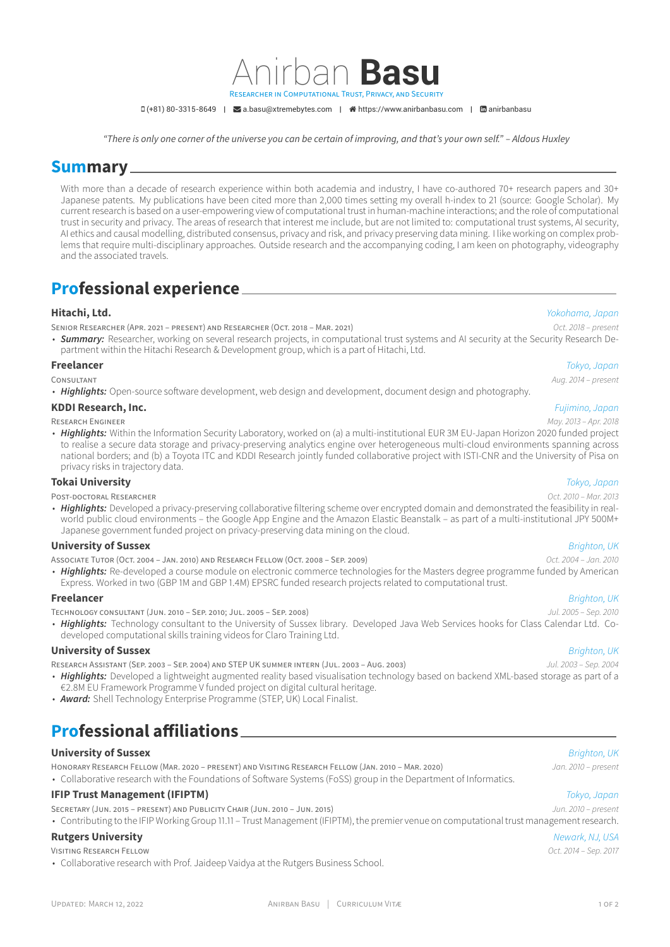$D(+81)$  80-3315-8649 |  $\blacktriangleright$  [a.basu@xtremebytes.com](mailto:a.basu@xtremebytes.com) |  $\blacktriangleleft$  [https://www.anirbanbasu.com](http://https://www.anirbanbasu.com) |  $\boxdot$  [anirbanbasu](https://www.linkedin.com/in/anirbanbasu)

Anirban **Basu**

*"There is only one corner of the universe you can be certain of improving, and that's your own self." – Aldous Huxley*

IN COMPUTATIONAL TRUST, PRIVACY, AND SECURITY

## **Summary**

With more than a decade of research experience within both academia and industry, I have co-authored 70+ research papers and 30+ Japanese patents. My publications have been cited more than 2,000 times setting my overall h-index to 21 (source: Google Scholar). My current research is based on a user-empowering view of computational trust in human-machine interactions; and the role of computational trust in security and privacy. The areas of research that interest me include, but are not limited to: computational trust systems, AI security, AI ethics and causal modelling, distributed consensus, privacy and risk, and privacy preserving data mining. I like working on complex problems that require multi-disciplinary approaches. Outside research and the accompanying coding, I am keen on photography, videography and the associated travels.

## **Professional experience**

### **Hitachi, Ltd.** *Yokohama, Japan*

SENIOR RESEARCHER (APR. 2021 – PRESENT) AND RESEARCHER (OCT. 2018 – MAR. 2021) *Oct. 2018 – present*

• **Summary:** Researcher, working on several research projects, in computational trust systems and AI security at the Security Research Department within the Hitachi Research & Development group, which is a part of Hitachi, Ltd.

### **Freelancer** *Tokyo, Japan*

• *Highlights:* Open-source software development, web design and development, document design and photography.

### **KDDI Research, Inc.** *Fujimino, Japan*

RESEARCH ENGINEER *May. 2013 – Apr. 2018*

• Highlights: Within the Information Security Laboratory, worked on (a) a multi-institutional EUR 3M EU-Japan Horizon 2020 funded project to realise a secure data storage and privacy-preserving analytics engine over heterogeneous multi-cloud environments spanning across national borders; and (b) a Toyota ITC and KDDI Research jointly funded collaborative project with ISTI-CNR and the University of Pisa on privacy risks in trajectory data.

### **Tokai University** *Tokyo, Japan*

POST-DOCTORAL RESEARCHER *Oct. 2010 – Mar. 2013*

• *Highlights:* Developed a privacy-preserving collaborative filtering scheme over encrypted domain and demonstrated the feasibility in realworld public cloud environments – the Google App Engine and the Amazon Elastic Beanstalk – as part of a multi-institutional JPY 500M+ Japanese government funded project on privacy-preserving data mining on the cloud.

### **University of Sussex** *Brighton, UK*

ASSOCIATE TUTOR (OCT. 2004 – JAN. 2010) AND RESEARCH FELLOW (OCT. 2008 – SEP. 2009) *Oct. 2004 – Jan. 2010*

• *Highlights:* Re-developed a course module on electronic commerce technologies for the Masters degree programme funded by American Express. Worked in two (GBP 1M and GBP 1.4M) EPSRC funded research projects related to computational trust.

### **Freelancer** *Brighton, UK*

TECHNOLOGY CONSULTANT (JUN. 2010 – SEP. 2010; JUL. 2005 – SEP. 2008) *Jul. 2005 – Sep. 2010*

• *Highlights:* Technology consultant to the University of Sussex library. Developed Java Web Services hooks for Class Calendar Ltd. Codeveloped computational skills training videos for Claro Training Ltd.

### **University of Sussex** *Brighton, UK*

- RESEARCH ASSISTANT (SEP. 2003 SEP. 2004) AND STEP UK SUMMER INTERN (JUL. 2003 AUG. 2003) *Jul. 2003 Sep. 2004*
- *Highlights:* Developed a lightweight augmented reality based visualisation technology based on backend XML-based storage as part of a €2.8M EU Framework Programme V funded project on digital cultural heritage.
- *Award:* Shell Technology Enterprise Programme (STEP, UK) Local Finalist.

# **Professional affiliations**

### **University of Sussex** *Brighton, UK*

HONORARY RESEARCH FELLOW (MAR. 2020 – PRESENT) AND VISITING RESEARCH FELLOW (JAN. 2010 – MAR. 2020) *Jan. 2010 – present*

• Collaborative research with the Foundations of Software Systems (FoSS) group in the Department of Informatics.

### **IFIP Trust Management (IFIPTM)** *Tokyo, Japan*

SECRETARY (JUN. 2015 – PRESENT) AND PUBLICITY CHAIR (JUN. 2010 – JUN. 2015) *Jun. 2010 – present*

• Contributing to the IFIP Working Group 11.11 – Trust Management (IFIPTM), the premier venue on computational trust management research.

### **Rutgers University** *Newark, NJ, USA*

VISITING RESEARCH FELLOW *Oct. 2014 – Sep. 2017*

• Collaborative research with Prof. Jaideep Vaidya at the Rutgers Business School.

# CONSULTANT *Aug. 2014 – present*